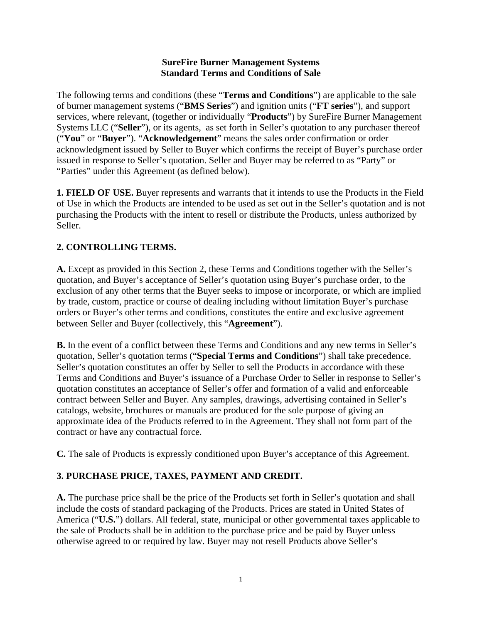#### **SureFire Burner Management Systems Standard Terms and Conditions of Sale**

The following terms and conditions (these "**Terms and Conditions**") are applicable to the sale of burner management systems ("**BMS Series**") and ignition units ("**FT series**"), and support services, where relevant, (together or individually "**Products**") by SureFire Burner Management Systems LLC ("**Seller**"), or its agents, as set forth in Seller's quotation to any purchaser thereof ("**You**" or "**Buyer**"). "**Acknowledgement**" means the sales order confirmation or order acknowledgment issued by Seller to Buyer which confirms the receipt of Buyer's purchase order issued in response to Seller's quotation. Seller and Buyer may be referred to as "Party" or "Parties" under this Agreement (as defined below).

**1. FIELD OF USE.** Buyer represents and warrants that it intends to use the Products in the Field of Use in which the Products are intended to be used as set out in the Seller's quotation and is not purchasing the Products with the intent to resell or distribute the Products, unless authorized by Seller.

# **2. CONTROLLING TERMS.**

**A.** Except as provided in this Section 2, these Terms and Conditions together with the Seller's quotation, and Buyer's acceptance of Seller's quotation using Buyer's purchase order, to the exclusion of any other terms that the Buyer seeks to impose or incorporate, or which are implied by trade, custom, practice or course of dealing including without limitation Buyer's purchase orders or Buyer's other terms and conditions, constitutes the entire and exclusive agreement between Seller and Buyer (collectively, this "**Agreement**").

**B.** In the event of a conflict between these Terms and Conditions and any new terms in Seller's quotation, Seller's quotation terms ("**Special Terms and Conditions**") shall take precedence. Seller's quotation constitutes an offer by Seller to sell the Products in accordance with these Terms and Conditions and Buyer's issuance of a Purchase Order to Seller in response to Seller's quotation constitutes an acceptance of Seller's offer and formation of a valid and enforceable contract between Seller and Buyer. Any samples, drawings, advertising contained in Seller's catalogs, website, brochures or manuals are produced for the sole purpose of giving an approximate idea of the Products referred to in the Agreement. They shall not form part of the contract or have any contractual force.

**C.** The sale of Products is expressly conditioned upon Buyer's acceptance of this Agreement.

# **3. PURCHASE PRICE, TAXES, PAYMENT AND CREDIT.**

**A.** The purchase price shall be the price of the Products set forth in Seller's quotation and shall include the costs of standard packaging of the Products. Prices are stated in United States of America ("**U.S.**") dollars. All federal, state, municipal or other governmental taxes applicable to the sale of Products shall be in addition to the purchase price and be paid by Buyer unless otherwise agreed to or required by law. Buyer may not resell Products above Seller's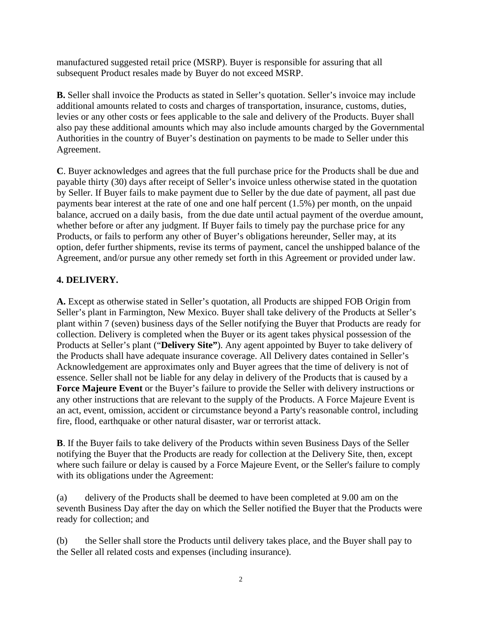manufactured suggested retail price (MSRP). Buyer is responsible for assuring that all subsequent Product resales made by Buyer do not exceed MSRP.

**B.** Seller shall invoice the Products as stated in Seller's quotation. Seller's invoice may include additional amounts related to costs and charges of transportation, insurance, customs, duties, levies or any other costs or fees applicable to the sale and delivery of the Products. Buyer shall also pay these additional amounts which may also include amounts charged by the Governmental Authorities in the country of Buyer's destination on payments to be made to Seller under this Agreement.

**C**. Buyer acknowledges and agrees that the full purchase price for the Products shall be due and payable thirty (30) days after receipt of Seller's invoice unless otherwise stated in the quotation by Seller. If Buyer fails to make payment due to Seller by the due date of payment, all past due payments bear interest at the rate of one and one half percent (1.5%) per month, on the unpaid balance, accrued on a daily basis, from the due date until actual payment of the overdue amount, whether before or after any judgment. If Buyer fails to timely pay the purchase price for any Products, or fails to perform any other of Buyer's obligations hereunder, Seller may, at its option, defer further shipments, revise its terms of payment, cancel the unshipped balance of the Agreement, and/or pursue any other remedy set forth in this Agreement or provided under law.

### **4. DELIVERY.**

**A.** Except as otherwise stated in Seller's quotation, all Products are shipped FOB Origin from Seller's plant in Farmington, New Mexico. Buyer shall take delivery of the Products at Seller's plant within 7 (seven) business days of the Seller notifying the Buyer that Products are ready for collection. Delivery is completed when the Buyer or its agent takes physical possession of the Products at Seller's plant ("**Delivery Site"**). Any agent appointed by Buyer to take delivery of the Products shall have adequate insurance coverage. All Delivery dates contained in Seller's Acknowledgement are approximates only and Buyer agrees that the time of delivery is not of essence. Seller shall not be liable for any delay in delivery of the Products that is caused by a **Force Majeure Event** or the Buyer's failure to provide the Seller with delivery instructions or any other instructions that are relevant to the supply of the Products. A Force Majeure Event is an act, event, omission, accident or circumstance beyond a Party's reasonable control, including fire, flood, earthquake or other natural disaster, war or terrorist attack.

**B**. If the Buyer fails to take delivery of the Products within seven Business Days of the Seller notifying the Buyer that the Products are ready for collection at the Delivery Site, then, except where such failure or delay is caused by a Force Majeure Event, or the Seller's failure to comply with its obligations under the Agreement:

(a) delivery of the Products shall be deemed to have been completed at 9.00 am on the seventh Business Day after the day on which the Seller notified the Buyer that the Products were ready for collection; and

(b) the Seller shall store the Products until delivery takes place, and the Buyer shall pay to the Seller all related costs and expenses (including insurance).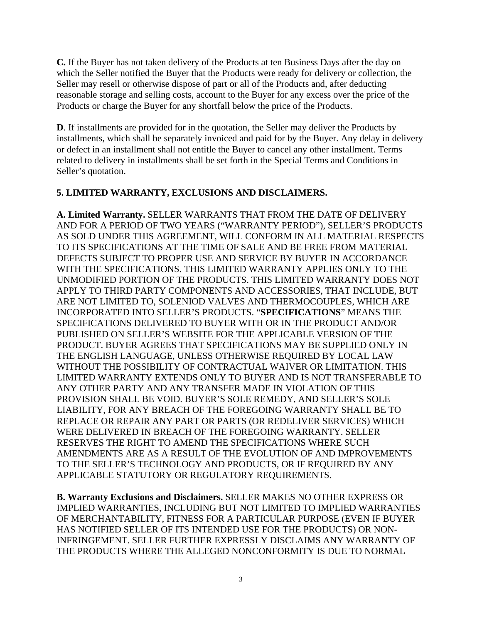**C.** If the Buyer has not taken delivery of the Products at ten Business Days after the day on which the Seller notified the Buyer that the Products were ready for delivery or collection, the Seller may resell or otherwise dispose of part or all of the Products and, after deducting reasonable storage and selling costs, account to the Buyer for any excess over the price of the Products or charge the Buyer for any shortfall below the price of the Products.

**D**. If installments are provided for in the quotation, the Seller may deliver the Products by installments, which shall be separately invoiced and paid for by the Buyer. Any delay in delivery or defect in an installment shall not entitle the Buyer to cancel any other installment. Terms related to delivery in installments shall be set forth in the Special Terms and Conditions in Seller's quotation.

### **5. LIMITED WARRANTY, EXCLUSIONS AND DISCLAIMERS.**

**A. Limited Warranty.** SELLER WARRANTS THAT FROM THE DATE OF DELIVERY AND FOR A PERIOD OF TWO YEARS ("WARRANTY PERIOD"), SELLER'S PRODUCTS AS SOLD UNDER THIS AGREEMENT, WILL CONFORM IN ALL MATERIAL RESPECTS TO ITS SPECIFICATIONS AT THE TIME OF SALE AND BE FREE FROM MATERIAL DEFECTS SUBJECT TO PROPER USE AND SERVICE BY BUYER IN ACCORDANCE WITH THE SPECIFICATIONS. THIS LIMITED WARRANTY APPLIES ONLY TO THE UNMODIFIED PORTION OF THE PRODUCTS. THIS LIMITED WARRANTY DOES NOT APPLY TO THIRD PARTY COMPONENTS AND ACCESSORIES, THAT INCLUDE, BUT ARE NOT LIMITED TO, SOLENIOD VALVES AND THERMOCOUPLES, WHICH ARE INCORPORATED INTO SELLER'S PRODUCTS. "**SPECIFICATIONS**" MEANS THE SPECIFICATIONS DELIVERED TO BUYER WITH OR IN THE PRODUCT AND/OR PUBLISHED ON SELLER'S WEBSITE FOR THE APPLICABLE VERSION OF THE PRODUCT. BUYER AGREES THAT SPECIFICATIONS MAY BE SUPPLIED ONLY IN THE ENGLISH LANGUAGE, UNLESS OTHERWISE REQUIRED BY LOCAL LAW WITHOUT THE POSSIBILITY OF CONTRACTUAL WAIVER OR LIMITATION. THIS LIMITED WARRANTY EXTENDS ONLY TO BUYER AND IS NOT TRANSFERABLE TO ANY OTHER PARTY AND ANY TRANSFER MADE IN VIOLATION OF THIS PROVISION SHALL BE VOID. BUYER'S SOLE REMEDY, AND SELLER'S SOLE LIABILITY, FOR ANY BREACH OF THE FOREGOING WARRANTY SHALL BE TO REPLACE OR REPAIR ANY PART OR PARTS (OR REDELIVER SERVICES) WHICH WERE DELIVERED IN BREACH OF THE FOREGOING WARRANTY. SELLER RESERVES THE RIGHT TO AMEND THE SPECIFICATIONS WHERE SUCH AMENDMENTS ARE AS A RESULT OF THE EVOLUTION OF AND IMPROVEMENTS TO THE SELLER'S TECHNOLOGY AND PRODUCTS, OR IF REQUIRED BY ANY APPLICABLE STATUTORY OR REGULATORY REQUIREMENTS.

**B. Warranty Exclusions and Disclaimers.** SELLER MAKES NO OTHER EXPRESS OR IMPLIED WARRANTIES, INCLUDING BUT NOT LIMITED TO IMPLIED WARRANTIES OF MERCHANTABILITY, FITNESS FOR A PARTICULAR PURPOSE (EVEN IF BUYER HAS NOTIFIED SELLER OF ITS INTENDED USE FOR THE PRODUCTS) OR NON-INFRINGEMENT. SELLER FURTHER EXPRESSLY DISCLAIMS ANY WARRANTY OF THE PRODUCTS WHERE THE ALLEGED NONCONFORMITY IS DUE TO NORMAL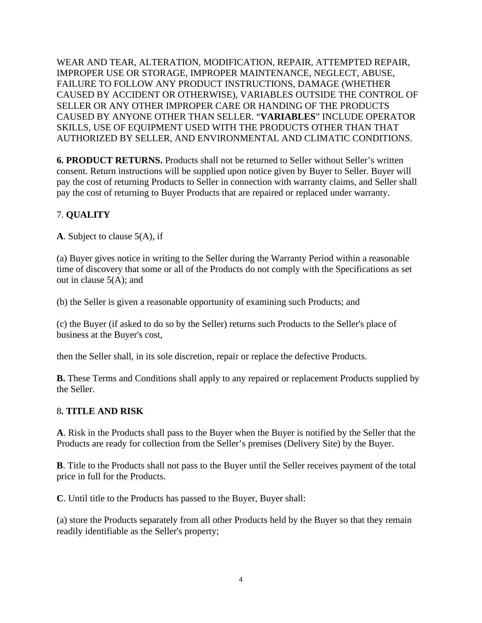WEAR AND TEAR, ALTERATION, MODIFICATION, REPAIR, ATTEMPTED REPAIR, IMPROPER USE OR STORAGE, IMPROPER MAINTENANCE, NEGLECT, ABUSE, FAILURE TO FOLLOW ANY PRODUCT INSTRUCTIONS, DAMAGE (WHETHER CAUSED BY ACCIDENT OR OTHERWISE), VARIABLES OUTSIDE THE CONTROL OF SELLER OR ANY OTHER IMPROPER CARE OR HANDING OF THE PRODUCTS CAUSED BY ANYONE OTHER THAN SELLER. "**VARIABLES**" INCLUDE OPERATOR SKILLS, USE OF EQUIPMENT USED WITH THE PRODUCTS OTHER THAN THAT AUTHORIZED BY SELLER, AND ENVIRONMENTAL AND CLIMATIC CONDITIONS.

**6. PRODUCT RETURNS.** Products shall not be returned to Seller without Seller's written consent. Return instructions will be supplied upon notice given by Buyer to Seller. Buyer will pay the cost of returning Products to Seller in connection with warranty claims, and Seller shall pay the cost of returning to Buyer Products that are repaired or replaced under warranty.

# 7. **QUALITY**

**A**. Subject to clause 5(A), if

(a) Buyer gives notice in writing to the Seller during the Warranty Period within a reasonable time of discovery that some or all of the Products do not comply with the Specifications as set out in clause 5(A); and

(b) the Seller is given a reasonable opportunity of examining such Products; and

(c) the Buyer (if asked to do so by the Seller) returns such Products to the Seller's place of business at the Buyer's cost,

then the Seller shall, in its sole discretion, repair or replace the defective Products.

**B.** These Terms and Conditions shall apply to any repaired or replacement Products supplied by the Seller.

### 8**. TITLE AND RISK**

**A**. Risk in the Products shall pass to the Buyer when the Buyer is notified by the Seller that the Products are ready for collection from the Seller's premises (Delivery Site) by the Buyer.

**B**. Title to the Products shall not pass to the Buyer until the Seller receives payment of the total price in full for the Products.

**C**. Until title to the Products has passed to the Buyer, Buyer shall:

(a) store the Products separately from all other Products held by the Buyer so that they remain readily identifiable as the Seller's property;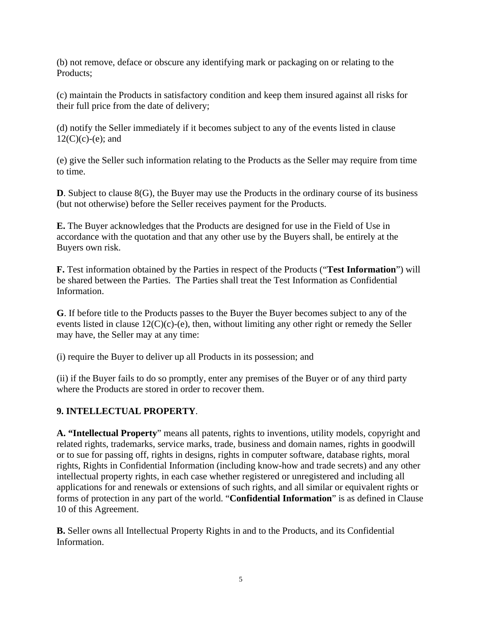(b) not remove, deface or obscure any identifying mark or packaging on or relating to the Products;

(c) maintain the Products in satisfactory condition and keep them insured against all risks for their full price from the date of delivery;

(d) notify the Seller immediately if it becomes subject to any of the events listed in clause  $12(C)(c)-(e)$ ; and

(e) give the Seller such information relating to the Products as the Seller may require from time to time.

**D**. Subject to clause 8(G), the Buyer may use the Products in the ordinary course of its business (but not otherwise) before the Seller receives payment for the Products.

**E.** The Buyer acknowledges that the Products are designed for use in the Field of Use in accordance with the quotation and that any other use by the Buyers shall, be entirely at the Buyers own risk.

**F.** Test information obtained by the Parties in respect of the Products ("**Test Information**") will be shared between the Parties. The Parties shall treat the Test Information as Confidential Information.

**G**. If before title to the Products passes to the Buyer the Buyer becomes subject to any of the events listed in clause  $12(C)(c)$ -(e), then, without limiting any other right or remedy the Seller may have, the Seller may at any time:

(i) require the Buyer to deliver up all Products in its possession; and

(ii) if the Buyer fails to do so promptly, enter any premises of the Buyer or of any third party where the Products are stored in order to recover them.

### **9. INTELLECTUAL PROPERTY**.

**A. "Intellectual Property**" means all patents, rights to inventions, utility models, copyright and related rights, trademarks, service marks, trade, business and domain names, rights in goodwill or to sue for passing off, rights in designs, rights in computer software, database rights, moral rights, Rights in Confidential Information (including know-how and trade secrets) and any other intellectual property rights, in each case whether registered or unregistered and including all applications for and renewals or extensions of such rights, and all similar or equivalent rights or forms of protection in any part of the world. "**Confidential Information**" is as defined in Clause 10 of this Agreement.

**B.** Seller owns all Intellectual Property Rights in and to the Products, and its Confidential Information.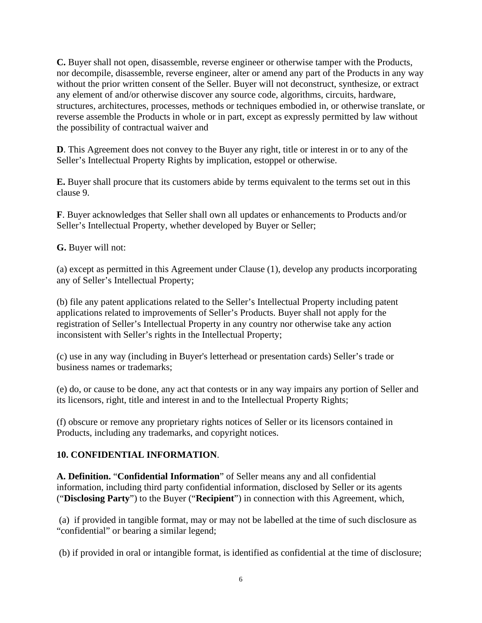**C.** Buyer shall not open, disassemble, reverse engineer or otherwise tamper with the Products, nor decompile, disassemble, reverse engineer, alter or amend any part of the Products in any way without the prior written consent of the Seller. Buyer will not deconstruct, synthesize, or extract any element of and/or otherwise discover any source code, algorithms, circuits, hardware, structures, architectures, processes, methods or techniques embodied in, or otherwise translate, or reverse assemble the Products in whole or in part, except as expressly permitted by law without the possibility of contractual waiver and

**D**. This Agreement does not convey to the Buyer any right, title or interest in or to any of the Seller's Intellectual Property Rights by implication, estoppel or otherwise.

**E.** Buyer shall procure that its customers abide by terms equivalent to the terms set out in this clause 9.

**F**. Buyer acknowledges that Seller shall own all updates or enhancements to Products and/or Seller's Intellectual Property, whether developed by Buyer or Seller;

**G.** Buyer will not:

(a) except as permitted in this Agreement under Clause (1), develop any products incorporating any of Seller's Intellectual Property;

(b) file any patent applications related to the Seller's Intellectual Property including patent applications related to improvements of Seller's Products. Buyer shall not apply for the registration of Seller's Intellectual Property in any country nor otherwise take any action inconsistent with Seller's rights in the Intellectual Property;

(c) use in any way (including in Buyer's letterhead or presentation cards) Seller's trade or business names or trademarks;

(e) do, or cause to be done, any act that contests or in any way impairs any portion of Seller and its licensors, right, title and interest in and to the Intellectual Property Rights;

(f) obscure or remove any proprietary rights notices of Seller or its licensors contained in Products, including any trademarks, and copyright notices.

### **10. CONFIDENTIAL INFORMATION**.

**A. Definition.** "**Confidential Information**" of Seller means any and all confidential information, including third party confidential information, disclosed by Seller or its agents ("**Disclosing Party**") to the Buyer ("**Recipient**") in connection with this Agreement, which,

(a) if provided in tangible format, may or may not be labelled at the time of such disclosure as "confidential" or bearing a similar legend;

(b) if provided in oral or intangible format, is identified as confidential at the time of disclosure;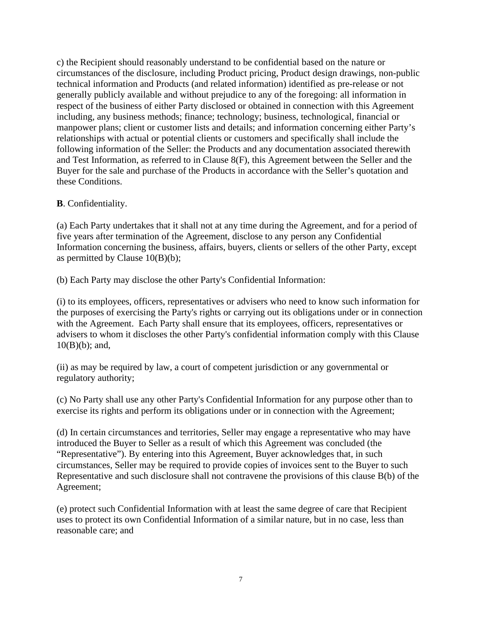c) the Recipient should reasonably understand to be confidential based on the nature or circumstances of the disclosure, including Product pricing, Product design drawings, non-public technical information and Products (and related information) identified as pre-release or not generally publicly available and without prejudice to any of the foregoing: all information in respect of the business of either Party disclosed or obtained in connection with this Agreement including, any business methods; finance; technology; business, technological, financial or manpower plans; client or customer lists and details; and information concerning either Party's relationships with actual or potential clients or customers and specifically shall include the following information of the Seller: the Products and any documentation associated therewith and Test Information, as referred to in Clause 8(F), this Agreement between the Seller and the Buyer for the sale and purchase of the Products in accordance with the Seller's quotation and these Conditions.

#### **B**. Confidentiality.

(a) Each Party undertakes that it shall not at any time during the Agreement, and for a period of five years after termination of the Agreement, disclose to any person any Confidential Information concerning the business, affairs, buyers, clients or sellers of the other Party, except as permitted by Clause 10(B)(b);

(b) Each Party may disclose the other Party's Confidential Information:

(i) to its employees, officers, representatives or advisers who need to know such information for the purposes of exercising the Party's rights or carrying out its obligations under or in connection with the Agreement. Each Party shall ensure that its employees, officers, representatives or advisers to whom it discloses the other Party's confidential information comply with this Clause  $10(B)(b)$ ; and,

(ii) as may be required by law, a court of competent jurisdiction or any governmental or regulatory authority;

(c) No Party shall use any other Party's Confidential Information for any purpose other than to exercise its rights and perform its obligations under or in connection with the Agreement;

(d) In certain circumstances and territories, Seller may engage a representative who may have introduced the Buyer to Seller as a result of which this Agreement was concluded (the "Representative"). By entering into this Agreement, Buyer acknowledges that, in such circumstances, Seller may be required to provide copies of invoices sent to the Buyer to such Representative and such disclosure shall not contravene the provisions of this clause B(b) of the Agreement;

(e) protect such Confidential Information with at least the same degree of care that Recipient uses to protect its own Confidential Information of a similar nature, but in no case, less than reasonable care; and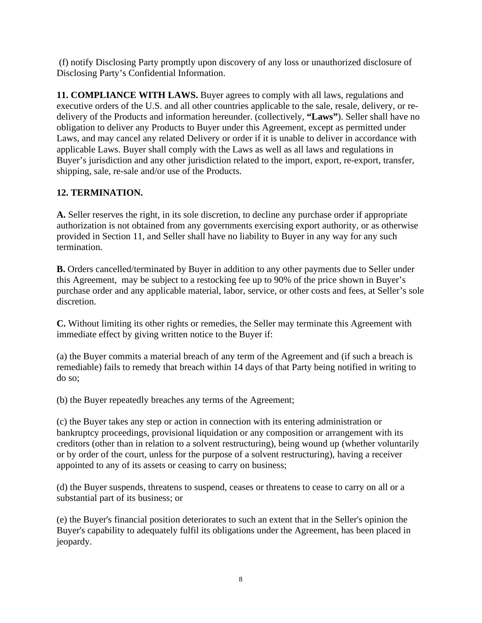(f) notify Disclosing Party promptly upon discovery of any loss or unauthorized disclosure of Disclosing Party's Confidential Information.

**11. COMPLIANCE WITH LAWS.** Buyer agrees to comply with all laws, regulations and executive orders of the U.S. and all other countries applicable to the sale, resale, delivery, or redelivery of the Products and information hereunder. (collectively, **"Laws"**). Seller shall have no obligation to deliver any Products to Buyer under this Agreement, except as permitted under Laws, and may cancel any related Delivery or order if it is unable to deliver in accordance with applicable Laws. Buyer shall comply with the Laws as well as all laws and regulations in Buyer's jurisdiction and any other jurisdiction related to the import, export, re-export, transfer, shipping, sale, re-sale and/or use of the Products.

# **12. TERMINATION.**

**A.** Seller reserves the right, in its sole discretion, to decline any purchase order if appropriate authorization is not obtained from any governments exercising export authority, or as otherwise provided in Section 11, and Seller shall have no liability to Buyer in any way for any such termination.

**B.** Orders cancelled/terminated by Buyer in addition to any other payments due to Seller under this Agreement, may be subject to a restocking fee up to 90% of the price shown in Buyer's purchase order and any applicable material, labor, service, or other costs and fees, at Seller's sole discretion.

**C.** Without limiting its other rights or remedies, the Seller may terminate this Agreement with immediate effect by giving written notice to the Buyer if:

(a) the Buyer commits a material breach of any term of the Agreement and (if such a breach is remediable) fails to remedy that breach within 14 days of that Party being notified in writing to do so;

(b) the Buyer repeatedly breaches any terms of the Agreement;

(c) the Buyer takes any step or action in connection with its entering administration or bankruptcy proceedings, provisional liquidation or any composition or arrangement with its creditors (other than in relation to a solvent restructuring), being wound up (whether voluntarily or by order of the court, unless for the purpose of a solvent restructuring), having a receiver appointed to any of its assets or ceasing to carry on business;

(d) the Buyer suspends, threatens to suspend, ceases or threatens to cease to carry on all or a substantial part of its business; or

(e) the Buyer's financial position deteriorates to such an extent that in the Seller's opinion the Buyer's capability to adequately fulfil its obligations under the Agreement, has been placed in jeopardy.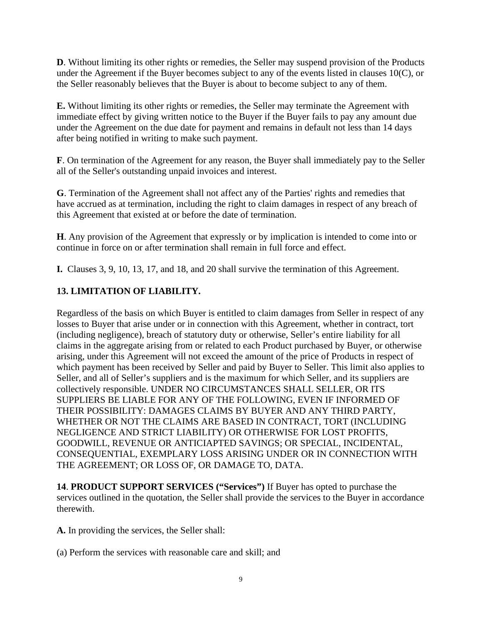**D**. Without limiting its other rights or remedies, the Seller may suspend provision of the Products under the Agreement if the Buyer becomes subject to any of the events listed in clauses 10(C), or the Seller reasonably believes that the Buyer is about to become subject to any of them.

**E.** Without limiting its other rights or remedies, the Seller may terminate the Agreement with immediate effect by giving written notice to the Buyer if the Buyer fails to pay any amount due under the Agreement on the due date for payment and remains in default not less than 14 days after being notified in writing to make such payment.

**F**. On termination of the Agreement for any reason, the Buyer shall immediately pay to the Seller all of the Seller's outstanding unpaid invoices and interest.

**G**. Termination of the Agreement shall not affect any of the Parties' rights and remedies that have accrued as at termination, including the right to claim damages in respect of any breach of this Agreement that existed at or before the date of termination.

**H**. Any provision of the Agreement that expressly or by implication is intended to come into or continue in force on or after termination shall remain in full force and effect.

**I.** Clauses 3, 9, 10, 13, 17, and 18, and 20 shall survive the termination of this Agreement.

### **13. LIMITATION OF LIABILITY.**

Regardless of the basis on which Buyer is entitled to claim damages from Seller in respect of any losses to Buyer that arise under or in connection with this Agreement, whether in contract, tort (including negligence), breach of statutory duty or otherwise, Seller's entire liability for all claims in the aggregate arising from or related to each Product purchased by Buyer, or otherwise arising, under this Agreement will not exceed the amount of the price of Products in respect of which payment has been received by Seller and paid by Buyer to Seller. This limit also applies to Seller, and all of Seller's suppliers and is the maximum for which Seller, and its suppliers are collectively responsible. UNDER NO CIRCUMSTANCES SHALL SELLER, OR ITS SUPPLIERS BE LIABLE FOR ANY OF THE FOLLOWING, EVEN IF INFORMED OF THEIR POSSIBILITY: DAMAGES CLAIMS BY BUYER AND ANY THIRD PARTY, WHETHER OR NOT THE CLAIMS ARE BASED IN CONTRACT, TORT (INCLUDING NEGLIGENCE AND STRICT LIABILITY) OR OTHERWISE FOR LOST PROFITS, GOODWILL, REVENUE OR ANTICIAPTED SAVINGS; OR SPECIAL, INCIDENTAL, CONSEQUENTIAL, EXEMPLARY LOSS ARISING UNDER OR IN CONNECTION WITH THE AGREEMENT; OR LOSS OF, OR DAMAGE TO, DATA.

**14**. **PRODUCT SUPPORT SERVICES ("Services")** If Buyer has opted to purchase the services outlined in the quotation, the Seller shall provide the services to the Buyer in accordance therewith.

**A.** In providing the services, the Seller shall:

(a) Perform the services with reasonable care and skill; and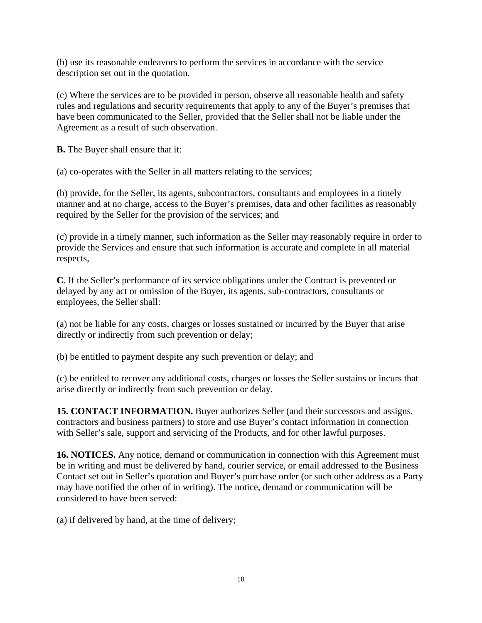(b) use its reasonable endeavors to perform the services in accordance with the service description set out in the quotation.

(c) Where the services are to be provided in person, observe all reasonable health and safety rules and regulations and security requirements that apply to any of the Buyer's premises that have been communicated to the Seller, provided that the Seller shall not be liable under the Agreement as a result of such observation.

**B.** The Buyer shall ensure that it:

(a) co-operates with the Seller in all matters relating to the services;

(b) provide, for the Seller, its agents, subcontractors, consultants and employees in a timely manner and at no charge, access to the Buyer's premises, data and other facilities as reasonably required by the Seller for the provision of the services; and

(c) provide in a timely manner, such information as the Seller may reasonably require in order to provide the Services and ensure that such information is accurate and complete in all material respects,

**C**. If the Seller's performance of its service obligations under the Contract is prevented or delayed by any act or omission of the Buyer, its agents, sub-contractors, consultants or employees, the Seller shall:

(a) not be liable for any costs, charges or losses sustained or incurred by the Buyer that arise directly or indirectly from such prevention or delay;

(b) be entitled to payment despite any such prevention or delay; and

(c) be entitled to recover any additional costs, charges or losses the Seller sustains or incurs that arise directly or indirectly from such prevention or delay.

**15. CONTACT INFORMATION.** Buyer authorizes Seller (and their successors and assigns, contractors and business partners) to store and use Buyer's contact information in connection with Seller's sale, support and servicing of the Products, and for other lawful purposes.

**16. NOTICES.** Any notice, demand or communication in connection with this Agreement must be in writing and must be delivered by hand, courier service, or email addressed to the Business Contact set out in Seller's quotation and Buyer's purchase order (or such other address as a Party may have notified the other of in writing). The notice, demand or communication will be considered to have been served:

(a) if delivered by hand, at the time of delivery;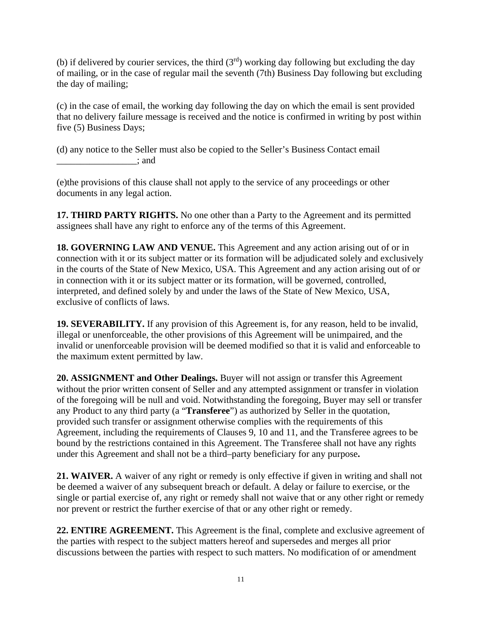(b) if delivered by courier services, the third  $(3<sup>rd</sup>)$  working day following but excluding the day of mailing, or in the case of regular mail the seventh (7th) Business Day following but excluding the day of mailing;

(c) in the case of email, the working day following the day on which the email is sent provided that no delivery failure message is received and the notice is confirmed in writing by post within five (5) Business Days;

(d) any notice to the Seller must also be copied to the Seller's Business Contact email \_\_\_\_\_\_\_\_\_\_\_\_\_\_\_\_\_; and

(e)the provisions of this clause shall not apply to the service of any proceedings or other documents in any legal action.

**17. THIRD PARTY RIGHTS.** No one other than a Party to the Agreement and its permitted assignees shall have any right to enforce any of the terms of this Agreement.

**18. GOVERNING LAW AND VENUE.** This Agreement and any action arising out of or in connection with it or its subject matter or its formation will be adjudicated solely and exclusively in the courts of the State of New Mexico, USA. This Agreement and any action arising out of or in connection with it or its subject matter or its formation, will be governed, controlled, interpreted, and defined solely by and under the laws of the State of New Mexico, USA, exclusive of conflicts of laws.

**19. SEVERABILITY.** If any provision of this Agreement is, for any reason, held to be invalid, illegal or unenforceable, the other provisions of this Agreement will be unimpaired, and the invalid or unenforceable provision will be deemed modified so that it is valid and enforceable to the maximum extent permitted by law.

**20. ASSIGNMENT and Other Dealings.** Buyer will not assign or transfer this Agreement without the prior written consent of Seller and any attempted assignment or transfer in violation of the foregoing will be null and void. Notwithstanding the foregoing, Buyer may sell or transfer any Product to any third party (a "**Transferee**") as authorized by Seller in the quotation, provided such transfer or assignment otherwise complies with the requirements of this Agreement, including the requirements of Clauses 9, 10 and 11, and the Transferee agrees to be bound by the restrictions contained in this Agreement. The Transferee shall not have any rights under this Agreement and shall not be a third–party beneficiary for any purpose**.** 

**21. WAIVER.** A waiver of any right or remedy is only effective if given in writing and shall not be deemed a waiver of any subsequent breach or default. A delay or failure to exercise, or the single or partial exercise of, any right or remedy shall not waive that or any other right or remedy nor prevent or restrict the further exercise of that or any other right or remedy.

**22. ENTIRE AGREEMENT.** This Agreement is the final, complete and exclusive agreement of the parties with respect to the subject matters hereof and supersedes and merges all prior discussions between the parties with respect to such matters. No modification of or amendment